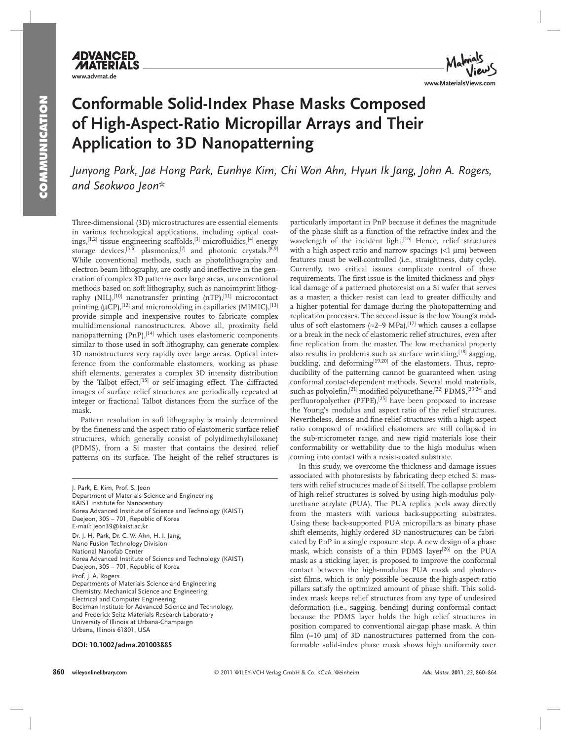

## **Conformable Solid-Index Phase Masks Composed of High-Aspect-Ratio Micropillar Arrays and Their Application to 3D Nanopatterning**

 *Junyong Park , Jae Hong Park , Eunhye Kim , Chi Won Ahn , Hyun Ik Jang , John A. Rogers , and Seokwoo Jeon \** 

 Three-dimensional (3D) microstructures are essential elements in various technological applications, including optical coatings,<sup>[1,2]</sup> tissue engineering scaffolds,<sup>[3]</sup> microfluidics,<sup>[4]</sup> energy storage devices,<sup>[5,6]</sup> plasmonics,<sup>[7]</sup> and photonic crystals.<sup>[8,9]</sup> While conventional methods, such as photolithography and electron beam lithography, are costly and ineffective in the generation of complex 3D patterns over large areas, unconventional methods based on soft lithography, such as nanoimprint lithography (NIL),<sup>[10]</sup> nanotransfer printing (nTP),<sup>[11]</sup> microcontact printing ( $\mu$ CP),  $^{[12]}$  and micromolding in capillaries (MIMIC),  $^{[13]}$ provide simple and inexpensive routes to fabricate complex multidimensional nanostructures. Above all, proximity field nanopatterning (PnP),<sup>[14]</sup> which uses elastomeric components similar to those used in soft lithography, can generate complex 3D nanostructures very rapidly over large areas. Optical interference from the conformable elastomers, working as phase shift elements, generates a complex 3D intensity distribution by the Talbot effect,<sup>[15]</sup> or self-imaging effect. The diffracted images of surface relief structures are periodically repeated at integer or fractional Talbot distances from the surface of the mask.

 Pattern resolution in soft lithography is mainly determined by the fineness and the aspect ratio of elastomeric surface relief structures, which generally consist of poly(dimethylsiloxane) (PDMS), from a Si master that contains the desired relief patterns on its surface. The height of the relief structures is

J. Park, E. Kim, Prof. S. Jeon Department of Materials Science and Engineering KAIST Institute for Nanocentury Korea Advanced Institute of Science and Technology (KAIST) Daejeon, 305 – 701, Republic of Korea E-mail: jeon39@kaist.ac.kr Dr. J. H. Park, Dr. C. W. Ahn, H. I. Jang, Nano Fusion Technology Division National Nanofab Center Korea Advanced Institute of Science and Technology (KAIST) Daejeon, 305 – 701, Republic of Korea Prof. J. A. Rogers Departments of Materials Science and Engineering Chemistry, Mechanical Science and Engineering Electrical and Computer Engineering Beckman Institute for Advanced Science and Technology, and Frederick Seitz Materials Research Laboratory University of Illinois at Urbana-Champaign Urbana, Illinois 61801, USA

particularly important in PnP because it defines the magnitude of the phase shift as a function of the refractive index and the wavelength of the incident light.<sup>[16]</sup> Hence, relief structures with a high aspect ratio and narrow spacings  $\left($  <1  $\mu$ m) between features must be well-controlled (i.e., straightness, duty cycle). Currently, two critical issues complicate control of these requirements. The first issue is the limited thickness and physical damage of a patterned photoresist on a Si wafer that serves as a master; a thicker resist can lead to greater difficulty and a higher potential for damage during the photopatterning and replication processes. The second issue is the low Young's modulus of soft elastomers ( $\approx$ 2–9 MPa),<sup>[17]</sup> which causes a collapse or a break in the neck of elastomeric relief structures, even after fine replication from the master. The low mechanical property also results in problems such as surface wrinkling,<sup>[18]</sup> sagging, buckling, and deforming<sup>[19,20]</sup> of the elastomers. Thus, reproducibility of the patterning cannot be guaranteed when using conformal contact-dependent methods. Several mold materials, such as polyolefin,<sup>[21]</sup> modified polyurethane,<sup>[22]</sup> PDMS,<sup>[23,24]</sup> and perfluoropolyether (PFPE),<sup>[25]</sup> have been proposed to increase the Young's modulus and aspect ratio of the relief structures. Nevertheless, dense and fine relief structures with a high aspect ratio composed of modified elastomers are still collapsed in the sub-micrometer range, and new rigid materials lose their conformability or wettability due to the high modulus when coming into contact with a resist-coated substrate.

 In this study, we overcome the thickness and damage issues associated with photoresists by fabricating deep etched Si masters with relief structures made of Si itself. The collapse problem of high relief structures is solved by using high-modulus polyurethane acrylate (PUA). The PUA replica peels away directly from the masters with various back-supporting substrates. Using these back-supported PUA micropillars as binary phase shift elements, highly ordered 3D nanostructures can be fabricated by PnP in a single exposure step. A new design of a phase mask, which consists of a thin PDMS layer<sup>[26]</sup> on the PUA mask as a sticking layer, is proposed to improve the conformal contact between the high-modulus PUA mask and photoresist films, which is only possible because the high-aspect-ratio pillars satisfy the optimized amount of phase shift. This solidindex mask keeps relief structures from any type of undesired deformation (i.e., sagging, bending) during conformal contact because the PDMS layer holds the high relief structures in position compared to conventional air-gap phase mask. A thin film ( $\approx$ 10 µm) of 3D nanostructures patterned from the con- **DOI: 10.1002/adma.201003885** formable solid-index phase mask shows high uniformity over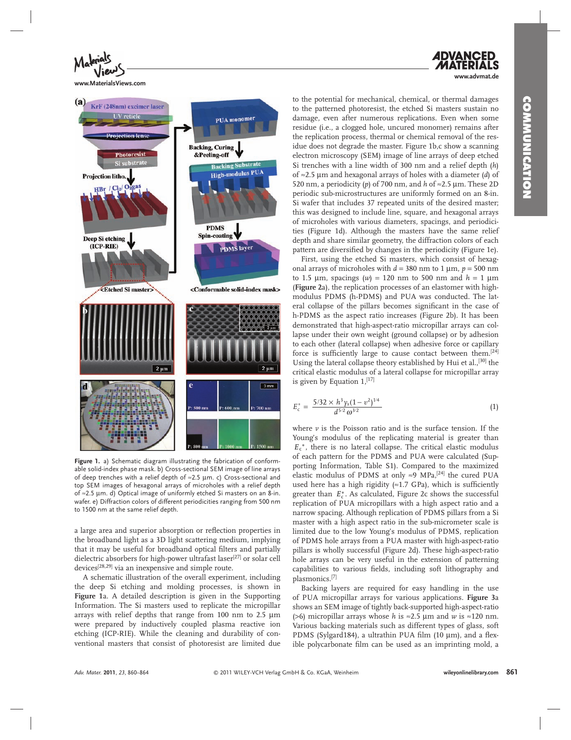**www.advmat.de**

**ADVANCED** 



**www.MaterialsViews.com**



Figure 1. a) Schematic diagram illustrating the fabrication of conformable solid-index phase mask. b) Cross-sectional SEM image of line arrays of deep trenches with a relief depth of ≈ 2.5 μ m. c) Cross-sectional and top SEM images of hexagonal arrays of microholes with a relief depth of ≈2.5 μm. d) Optical image of uniformly etched Si masters on an 8-in. wafer. e) Diffraction colors of different periodicities ranging from 500 nm to 1500 nm at the same relief depth.

a large area and superior absorption or reflection properties in the broadband light as a 3D light scattering medium, implying that it may be useful for broadband optical filters and partially dielectric absorbers for high-power ultrafast laser<sup>[27]</sup> or solar cell devices<sup>[28,29]</sup> via an inexpensive and simple route.

 A schematic illustration of the overall experiment, including the deep Si etching and molding processes, is shown in Figure 1a. A detailed description is given in the Supporting Information. The Si masters used to replicate the micropillar arrays with relief depths that range from 100 nm to 2.5  $\mu$ m were prepared by inductively coupled plasma reactive ion etching (ICP-RIE). While the cleaning and durability of conventional masters that consist of photoresist are limited due

to the potential for mechanical, chemical, or thermal damages to the patterned photoresist, the etched Si masters sustain no damage, even after numerous replications. Even when some residue (i.e., a clogged hole, uncured monomer) remains after the replication process, thermal or chemical removal of the residue does not degrade the master. Figure 1b,c show a scanning electron microscopy (SEM) image of line arrays of deep etched Si trenches with a line width of 300 nm and a relief depth (*h*) of  $\approx$ 2.5 µm and hexagonal arrays of holes with a diameter (*d*) of 520 nm, a periodicity ( $p$ ) of 700 nm, and  $h$  of  $\approx$ 2.5 µm. These 2D periodic sub-microstructures are uniformly formed on an 8-in. Si wafer that includes 37 repeated units of the desired master; this was designed to include line, square, and hexagonal arrays of microholes with various diameters, spacings, and periodicities (Figure 1d). Although the masters have the same relief depth and share similar geometry, the diffraction colors of each pattern are diversified by changes in the periodicity (Figure 1e).

 First, using the etched Si masters, which consist of hexagonal arrays of microholes with  $d = 380$  nm to 1 µm,  $p = 500$  nm to 1.5  $\mu$ m, spacings  $(w) = 120$  nm to 500 nm and  $h = 1 \mu$ m (**Figure** 2a), the replication processes of an elastomer with highmodulus PDMS (h-PDMS) and PUA was conducted. The lateral collapse of the pillars becomes significant in the case of h-PDMS as the aspect ratio increases (Figure 2b). It has been demonstrated that high-aspect-ratio micropillar arrays can collapse under their own weight (ground collapse) or by adhesion to each other (lateral collapse) when adhesive force or capillary force is sufficiently large to cause contact between them.  $[24]$ Using the lateral collapse theory established by Hui et al.,<sup>[30]</sup> the critical elastic modulus of a lateral collapse for micropillar array is given by Equation  $1,$ [17]

$$
E_{\rm c}^* = \frac{5/32 \times h^3 \gamma_{\rm s} (1 - v^2)^{1/4}}{d^{5/2} \omega^{3/2}} \tag{1}
$$

where *v* is the Poisson ratio and is the surface tension. If the Young's modulus of the replicating material is greater than  $E_{c}^{*}$ , there is no lateral collapse. The critical elastic modulus of each pattern for the PDMS and PUA were calculated (Supporting Information, Table S1). Compared to the maximized elastic modulus of PDMS at only ≈9 MPa,<sup>[24]</sup> the cured PUA used here has a high rigidity ( $\approx$ 1.7 GPa), which is sufficiently greater than  $E_c^*$ . As calculated, Figure 2c shows the successful replication of PUA micropillars with a high aspect ratio and a narrow spacing. Although replication of PDMS pillars from a Si master with a high aspect ratio in the sub-micrometer scale is limited due to the low Young's modulus of PDMS, replication of PDMS hole arrays from a PUA master with high-aspect-ratio pillars is wholly successful (Figure 2d). These high-aspect-ratio hole arrays can be very useful in the extension of patterning capabilities to various fields, including soft lithography and plasmonics. [7]

 Backing layers are required for easy handling in the use of PUA micropillar arrays for various applications. **Figure 3** a shows an SEM image of tightly back-supported high-aspect-ratio ( $>6$ ) micropillar arrays whose *h* is ≈2.5 µm and *w* is ≈120 nm. Various backing materials such as different types of glass, soft PDMS (Sylgard184), a ultrathin PUA film (10 μm), and a flexible polycarbonate film can be used as an imprinting mold, a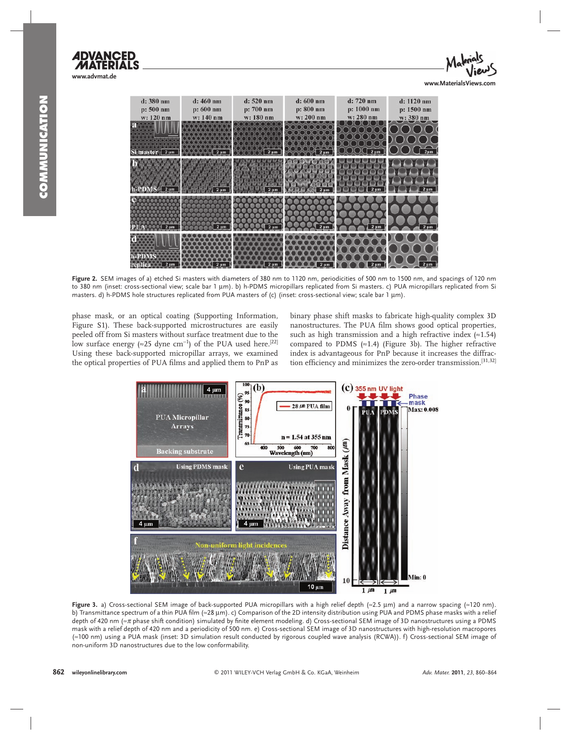

www.MaterialsView



Figure 2. SEM images of a) etched Si masters with diameters of 380 nm to 1120 nm, periodicities of 500 nm to 1500 nm, and spacings of 120 nm to 380 nm (inset: cross-sectional view; scale bar 1 μ m). b) h-PDMS micropillars replicated from Si masters. c) PUA micropillars replicated from Si masters. d) h-PDMS hole structures replicated from PUA masters of (c) (inset: cross-sectional view; scale bar 1  $\mu$ m).

phase mask, or an optical coating (Supporting Information, Figure S1). These back-supported microstructures are easily peeled off from Si masters without surface treatment due to the low surface energy (≈25 dyne cm<sup>-1</sup>) of the PUA used here.<sup>[22]</sup> Using these back-supported micropillar arrays, we examined the optical properties of PUA films and applied them to PnP as

binary phase shift masks to fabricate high-quality complex 3D nanostructures. The PUA film shows good optical properties, such as high transmission and a high refractive index  $( \approx 1.54)$ compared to PDMS ( $\approx$ 1.4) (Figure 3b). The higher refractive index is advantageous for PnP because it increases the diffraction efficiency and minimizes the zero-order transmission.<sup>[31,32]</sup>



**Figure 3.** a) Cross-sectional SEM image of back-supported PUA micropillars with a high relief depth (≈2.5 µm) and a narrow spacing (≈120 nm). b) Transmittance spectrum of a thin PUA film (≈28 μm). c) Comparison of the 2D intensity distribution using PUA and PDMS phase masks with a relief depth of 420 nm (≈π phase shift condition) simulated by finite element modeling. d) Cross-sectional SEM image of 3D nanostructures using a PDMS mask with a relief depth of 420 nm and a periodicity of 500 nm. e) Cross-sectional SEM image of 3D nanostructures with high-resolution macropores (≈100 nm) using a PUA mask (inset: 3D simulation result conducted by rigorous coupled wave analysis (RCWA)). f) Cross-sectional SEM image of non-uniform 3D nanostructures due to the low conformability.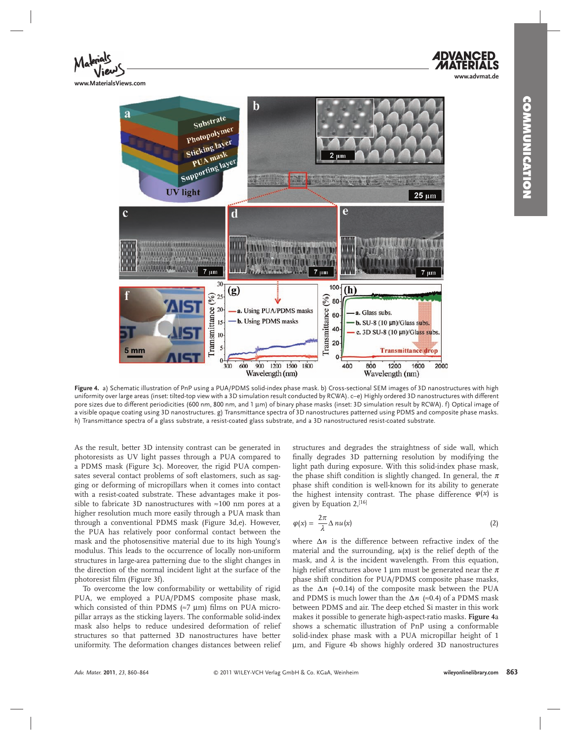**www.MaterialsViews.com**

**www.advmat.de**



 **Figure 4 .** a) Schematic illustration of PnP using a PUA/PDMS solid-index phase mask. b) Cross-sectional SEM images of 3D nanostructures with high uniformity over large areas (inset: tilted-top view with a 3D simulation result conducted by RCWA). c–e) Highly ordered 3D nanostructures with different pore sizes due to different periodicities (600 nm, 800 nm, and 1 μm) of binary phase masks (inset: 3D simulation result by RCWA). f) Optical image of a visible opaque coating using 3D nanostructures. g) Transmittance spectra of 3D nanostructures patterned using PDMS and composite phase masks. h) Transmittance spectra of a glass substrate, a resist-coated glass substrate, and a 3D nanostructured resist-coated substrate.

As the result, better 3D intensity contrast can be generated in photoresists as UV light passes through a PUA compared to a PDMS mask (Figure 3c). Moreover, the rigid PUA compensates several contact problems of soft elastomers, such as sagging or deforming of micropillars when it comes into contact with a resist-coated substrate. These advantages make it possible to fabricate 3D nanostructures with ≈ 100 nm pores at a higher resolution much more easily through a PUA mask than through a conventional PDMS mask (Figure 3d,e). However, the PUA has relatively poor conformal contact between the mask and the photosensitive material due to its high Young's modulus. This leads to the occurrence of locally non-uniform structures in large-area patterning due to the slight changes in the direction of the normal incident light at the surface of the photoresist film (Figure 3f).

 To overcome the low conformability or wettability of rigid PUA, we employed a PUA/PDMS composite phase mask, which consisted of thin PDMS ( $\approx$ 7 µm) films on PUA micropillar arrays as the sticking layers. The conformable solid-index mask also helps to reduce undesired deformation of relief structures so that patterned 3D nanostructures have better uniformity. The deformation changes distances between relief structures and degrades the straightness of side wall, which finally degrades 3D patterning resolution by modifying the light path during exposure. With this solid-index phase mask, the phase shift condition is slightly changed. In general, the  $\pi$ phase shift condition is well-known for its ability to generate the highest intensity contrast. The phase difference  $\varphi(x)$  is given by Equation  $2,$ <sup>[16]</sup>

$$
\varphi(x) = \frac{2\pi}{\lambda} \Delta n u(x) \tag{2}
$$

where  $\Delta n$  is the difference between refractive index of the material and the surrounding,  $u(x)$  is the relief depth of the mask, and  $\lambda$  is the incident wavelength. From this equation, high relief structures above 1 μm must be generated near the  $\pi$ phase shift condition for PUA/PDMS composite phase masks, as the  $\Delta n$  ( $\approx$ 0.14) of the composite mask between the PUA and PDMS is much lower than the  $\Delta n \approx 0.4$  of a PDMS mask between PDMS and air. The deep etched Si master in this work makes it possible to generate high-aspect-ratio masks. **Figure 4** a shows a schematic illustration of PnP using a conformable solid-index phase mask with a PUA micropillar height of 1 μm, and Figure 4b shows highly ordered 3D nanostructures